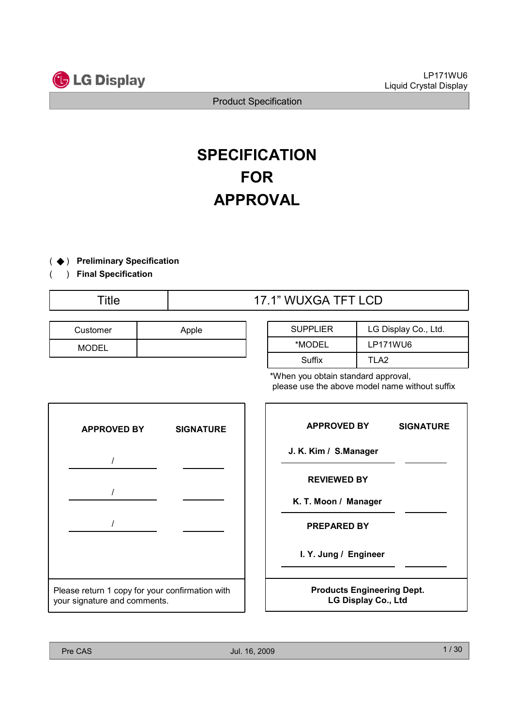

## **SPECIFICATION** FOR APPROVAL

- ( ◆) Preliminary Specification
- ( ) Final Specification

## Title 17.1" WUXGA TFT LCD

| Customer     | Apple |
|--------------|-------|
| <b>MODEL</b> |       |

| <b>SUPPLIER</b> | LG Display Co., Ltd. |
|-----------------|----------------------|
| *MODEL          | LP171WU6             |
| Suffix          | TI A2                |

\*When you obtain standard approval, please use the above model name without suffix



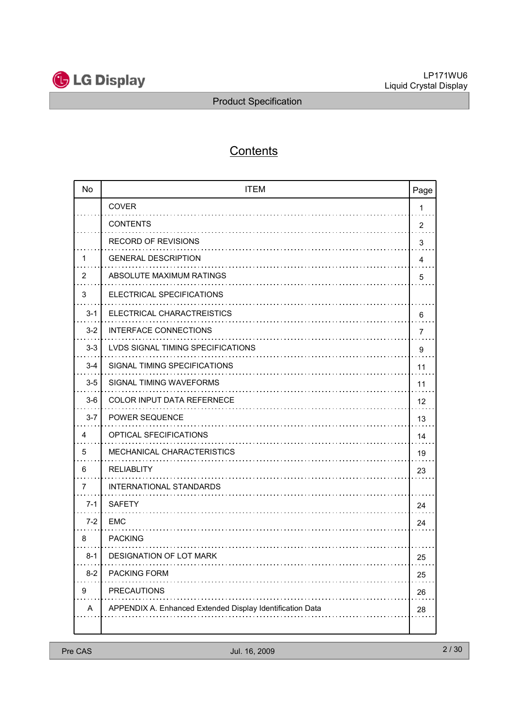

## **Contents**

| <b>No</b> | <b>ITEM</b>                                               | Page |
|-----------|-----------------------------------------------------------|------|
|           | <b>COVER</b>                                              | 1    |
|           | <b>CONTENTS</b><br>.                                      | 2    |
|           | <b>RECORD OF REVISIONS</b>                                | 3    |
| 1         | <b>GENERAL DESCRIPTION</b>                                | 4    |
| 2         | ABSOLUTE MAXIMUM RATINGS                                  | 5    |
| 3         | ELECTRICAL SPECIFICATIONS                                 |      |
| $3 - 1$   | ELECTRICAL CHARACTREISTICS                                | 6    |
| $3-2$     | <b>INTERFACE CONNECTIONS</b><br>.                         | 7    |
| $3 - 3$   | LVDS SIGNAL TIMING SPECIFICATIONS                         | 9    |
| $3 - 4$   | SIGNAL TIMING SPECIFICATIONS                              | 11   |
| $3-5$     | SIGNAL TIMING WAVEFORMS                                   | 11   |
| $3-6$     | <b>COLOR INPUT DATA REFERNECE</b><br>.                    | 12   |
| $3 - 7$   | <b>POWER SEQUENCE</b><br>.                                | 13   |
| 4         | OPTICAL SFECIFICATIONS                                    | 14   |
| 5         | MECHANICAL CHARACTERISTICS                                | 19   |
| 6         | RELIABLITY                                                | 23   |
| 7         | <b>INTERNATIONAL STANDARDS</b>                            |      |
| $7 - 1$   | <b>SAFETY</b>                                             | 24   |
| $7-2$     | EMC                                                       | 24   |
| 8         | <b>PACKING</b>                                            |      |
| $8 - 1$   | DESIGNATION OF LOT MARK                                   | 25   |
| $8-2$     | <b>PACKING FORM</b>                                       | 25   |
| 9         | <b>PRECAUTIONS</b>                                        | 26   |
| A         | APPENDIX A. Enhanced Extended Display Identification Data | 28   |
|           |                                                           |      |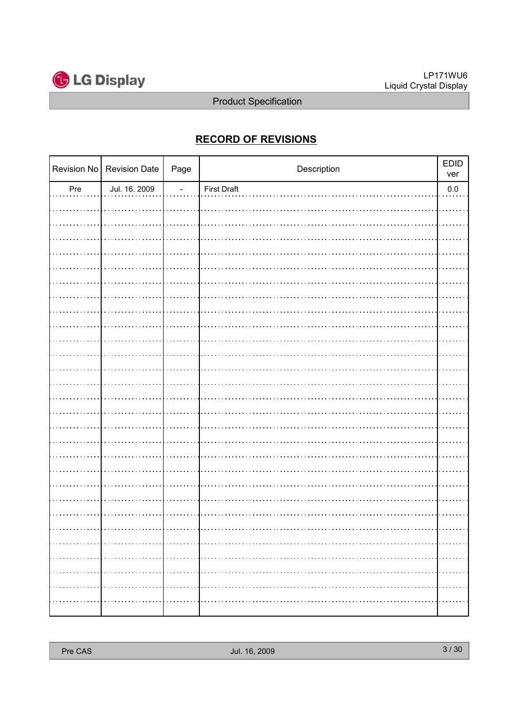

## RECORD OF REVISIONS

|     | Revision No   Revision Date | Page                     | Description        | <b>EDID</b><br>ver |
|-----|-----------------------------|--------------------------|--------------------|--------------------|
| Pre | Jul. 16. 2009               | $\overline{\phantom{a}}$ | <b>First Draft</b> | $0.0\,$            |
|     |                             |                          |                    |                    |
|     |                             |                          |                    |                    |
|     |                             |                          |                    |                    |
|     |                             |                          |                    |                    |
|     |                             |                          |                    |                    |
|     |                             |                          |                    |                    |
|     |                             |                          |                    |                    |
|     |                             |                          |                    |                    |
|     |                             |                          |                    |                    |
|     |                             |                          |                    |                    |
|     |                             |                          |                    |                    |
|     |                             |                          |                    |                    |
|     |                             |                          |                    |                    |
|     |                             |                          |                    |                    |
|     |                             |                          |                    |                    |
|     |                             |                          |                    |                    |
|     |                             |                          |                    |                    |
|     |                             |                          |                    |                    |
|     |                             |                          |                    |                    |
|     |                             |                          |                    |                    |
|     |                             |                          |                    |                    |
|     |                             |                          |                    |                    |
|     |                             |                          |                    |                    |
|     |                             |                          |                    |                    |
|     |                             |                          |                    |                    |
|     |                             |                          |                    |                    |
|     |                             |                          |                    |                    |
|     |                             |                          |                    | .                  |
| .   |                             |                          |                    |                    |
|     |                             |                          |                    |                    |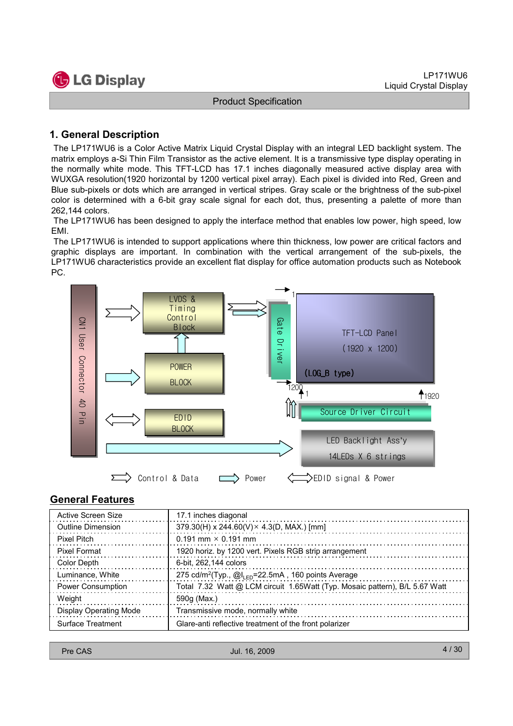

### 1. General Description

The LP171WU6 is a Color Active Matrix Liquid Crystal Display with an integral LED backlight system. The matrix employs a-Si Thin Film Transistor as the active element. It is a transmissive type display operating in the normally white mode. This TFT-LCD has 17.1 inches diagonally measured active display area with WUXGA resolution(1920 horizontal by 1200 vertical pixel array). Each pixel is divided into Red, Green and Blue sub-pixels or dots which are arranged in vertical stripes. Gray scale or the brightness of the sub-pixel color is determined with a 6-bit gray scale signal for each dot, thus, presenting a palette of more than 262,144 colors.

The LP171WU6 has been designed to apply the interface method that enables low power, high speed, low EMI.

The LP171WU6 is intended to support applications where thin thickness, low power are critical factors and graphic displays are important. In combination with the vertical arrangement of the sub-pixels, the LP171WU6 characteristics provide an excellent flat display for office automation products such as Notebook PC.



#### General Features

| Active Screen Size            | 17.1 inches diagonal                                                              |
|-------------------------------|-----------------------------------------------------------------------------------|
| <b>Outline Dimension</b>      | $379.30(H)$ x 244.60(V) × 4.3(D, MAX.) [mm]                                       |
| <b>Pixel Pitch</b>            | $0.191$ mm $\times$ 0.191 mm                                                      |
| Pixel Format                  | 1920 horiz. by 1200 vert. Pixels RGB strip arrangement                            |
| Color Depth                   | 6-bit, 262,144 colors                                                             |
| Luminance, White              | 275 cd/m <sup>2</sup> (Typ., $@l_{\text{FD}}=22.5 \text{mA}$ , 160 points Average |
| <b>Power Consumption</b>      | Total 7.32 Watt @ LCM circuit 1.65Watt (Typ. Mosaic pattern), B/L 5.67 Watt       |
| Weight                        | 590g (Max.)                                                                       |
| <b>Display Operating Mode</b> | Transmissive mode, normally white                                                 |
| Surface Treatment             | Glare-anti reflective treatment of the front polarizer                            |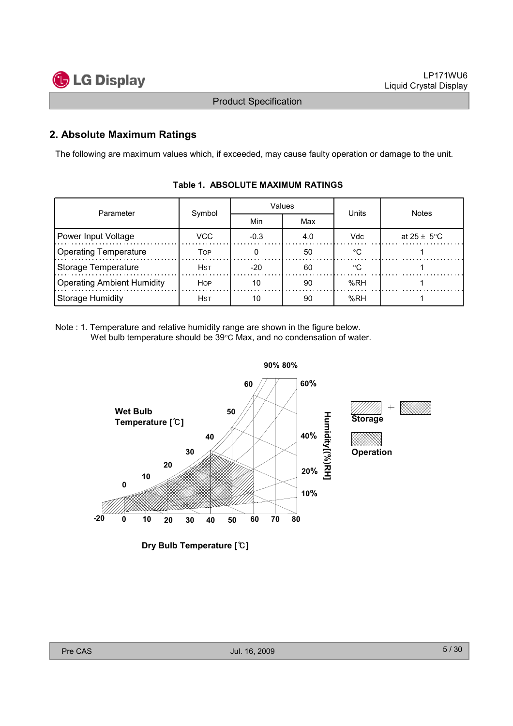

## 2. Absolute Maximum Ratings

The following are maximum values which, if exceeded, may cause faulty operation or damage to the unit.

| Parameter                         | Symbol      |        | Values | Units      | <b>Notes</b>    |  |
|-----------------------------------|-------------|--------|--------|------------|-----------------|--|
|                                   |             | Min    | Max    |            |                 |  |
| Power Input Voltage               | VCC         | $-0.3$ | 4.0    | <b>Vdc</b> | at 25 $\pm$ 5°C |  |
| <b>Operating Temperature</b>      | Тор         |        | 50     | $\circ$    |                 |  |
| Storage Temperature               | <b>H</b> st | $-20$  | 60     |            |                 |  |
| <b>Operating Ambient Humidity</b> | <b>HOP</b>  | 10     | 90     | %RH        |                 |  |
| Storage Humidity                  | <b>H</b> st | 10     | 90     | %RH        |                 |  |

#### Table 1. ABSOLUTE MAXIMUM RATINGS

Note : 1. Temperature and relative humidity range are shown in the figure below. Wet bulb temperature should be 39°C Max, and no condensation of water.



Dry Bulb Temperature [°C]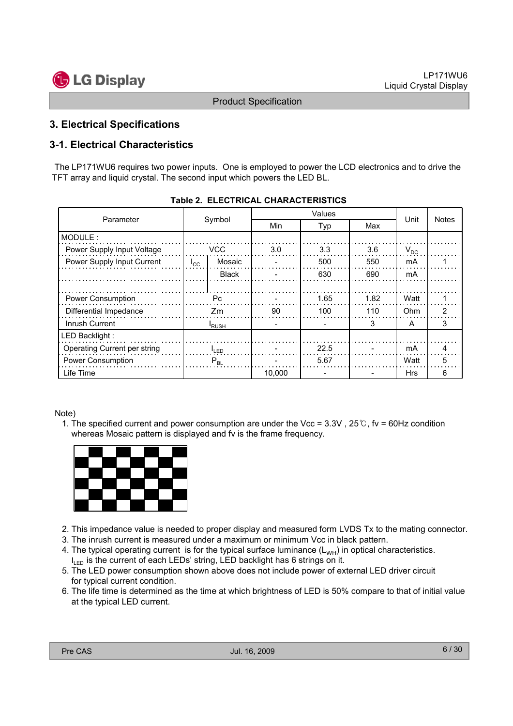

## 3. Electrical Specifications

## 3-1. Electrical Characteristics

The LP171WU6 requires two power inputs. One is employed to power the LCD electronics and to drive the TFT array and liquid crystal. The second input which powers the LED BL.

| Parameter                    | Symbol            |                   | Min    | Typ  | Max  | Unit     | <b>Notes</b> |
|------------------------------|-------------------|-------------------|--------|------|------|----------|--------------|
| MODULE:                      |                   |                   |        |      |      |          |              |
| Power Supply Input Voltage   |                   | <b>VCC</b>        | 3.0    | 3.3  | 3.6  | $V_{DC}$ |              |
| Power Supply Input Current   | $I_{\rm CC}$      | Mosaic            |        | 500  | 550  | mA       |              |
|                              | <b>Black</b>      |                   |        | 630  | 690  | mA       |              |
|                              |                   |                   |        |      |      |          |              |
| Power Consumption            | Рc                |                   |        | 1.65 | 1.82 | Watt     |              |
| Differential Impedance       |                   | Zm                | 90     | 100  | 110  | Ohm      | 2            |
| Inrush Current               |                   | <sup>I</sup> RUSH |        |      | 3    | A        | 3            |
| LED Backlight:               |                   |                   |        |      |      |          |              |
| Operating Current per string | <sup>I</sup> LED. |                   |        | 22.5 |      | mA       | 4            |
| Power Consumption            | $P_{BL}$          |                   |        | 5.67 |      | Watt     | 5            |
| Life Time                    |                   |                   | 10,000 |      |      | Hrs      | 6            |

| <b>Table 2. ELECTRICAL CHARACTERISTICS</b> |  |
|--------------------------------------------|--|
|--------------------------------------------|--|

#### Note)

1. The specified current and power consumption are under the Vcc =  $3.3V$ ,  $25°C$ , fv =  $60Hz$  condition whereas Mosaic pattern is displayed and fv is the frame frequency.



- 2. This impedance value is needed to proper display and measured form LVDS Tx to the mating connector.
- 3. The inrush current is measured under a maximum or minimum Vcc in black pattern.
- 4. The typical operating current is for the typical surface luminance  $(L_{WH})$  in optical characteristics.  $I_{LED}$  is the current of each LEDs' string, LED backlight has 6 strings on it.
- 5. The LED power consumption shown above does not include power of external LED driver circuit for typical current condition.
- 6. The life time is determined as the time at which brightness of LED is 50% compare to that of initial value at the typical LED current.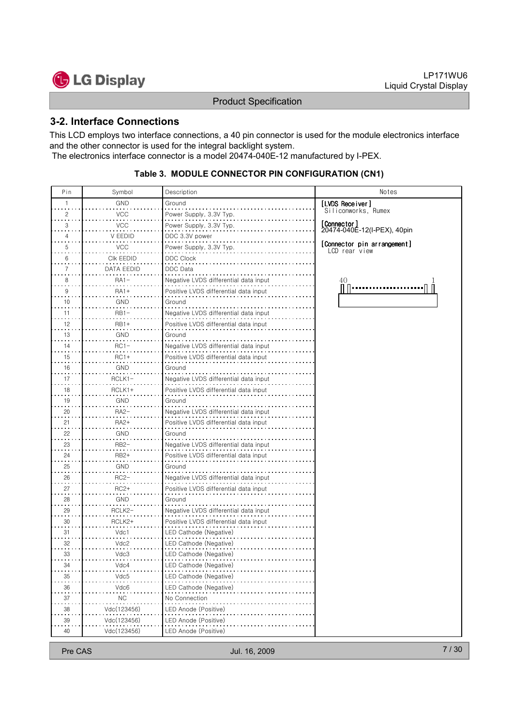



#### 3-2. Interface Connections

This LCD employs two interface connections, a 40 pin connector is used for the module electronics interface and the other connector is used for the integral backlight system. The electronics interface connector is a model 20474-040E-12 manufactured by I-PEX.

#### Table 3. MODULE CONNECTOR PIN CONFIGURATION (CN1)

| Pin                      | Symbol      | Description                           | Notes                                        |
|--------------------------|-------------|---------------------------------------|----------------------------------------------|
| 1                        | GND         | Ground                                | [LVDS Receiver]                              |
| 2                        | <b>VCC</b>  | Power Supply, 3.3V Typ.               | Siliconworks, Rumex                          |
| 3                        | <b>VCC</b>  | Power Supply, 3.3V Typ.               | [Connector]                                  |
|                          | V EEDID     | DDC 3.3V power                        | 20474-040Ē-12(I-PEX), 40pin                  |
| 5                        | VCC         | Power Supply, 3.3V Typ.               | [Connector pin arrangement]<br>LCD rear view |
| 6                        | CIK EEDID   | DDC Clock                             |                                              |
| 7                        | DATA EEDID  | DDC Data                              |                                              |
| 8                        | RA1-        | Negative LVDS differential data input | 40                                           |
| 9                        | <b>RA1+</b> | Positive LVDS differential data input |                                              |
| 10                       | GND         | Ground                                |                                              |
| 11                       | RB1-        | Negative LVDS differential data input |                                              |
| 12                       | RB1+        | Positive LVDS differential data input |                                              |
| 13                       | GND         | Ground                                |                                              |
| 14                       | $RC1-$      | Negative LVDS differential data input |                                              |
| 15                       | $RC1+$      | Positive LVDS differential data input |                                              |
| 16                       | GND         | Ground                                |                                              |
| 17                       | RCLK1-      | Negative LVDS differential data input |                                              |
| 18                       | RCLK1+      | Positive LVDS differential data input |                                              |
| $\sim$<br>19             | GND         | Ground                                |                                              |
| 20                       | RA2-        | Negative LVDS differential data inpu  |                                              |
| 21                       | RA2+        | Positive LVDS differential data input |                                              |
| 22                       | GND         | Ground                                |                                              |
| 23                       | RB2-        | Negative LVDS differential data input |                                              |
| 24                       | RB2+        | Positive LVDS differential data input |                                              |
| 25                       | GND         | Ground                                |                                              |
| 26                       | $RC2-$      | Negative LVDS differential data input |                                              |
| $\sim$<br>27<br>$\cdots$ | RC2+        | Positive LVDS differential data input |                                              |
| 28                       | GND         | Ground                                |                                              |
| 29                       | RCLK2-      | Negative LVDS differential data input |                                              |
| 30                       | RCLK2+      | Positive LVDS differential data input |                                              |
| 31                       | Vdc1        | LED Cathode (Negative)                |                                              |
| 32                       | Vdc2        | LED Cathode (Negative)                |                                              |
| 33                       | Vdc3        | LED Cathode (Negative)                |                                              |
| 34                       | Vdc4        | LED Cathode (Negative)                |                                              |
| $\frac{35}{11}$          | Vdc5        | LED Cathode (Negative)                |                                              |
| 36                       | Vdc6        | LED Cathode (Negative)                |                                              |
| 37                       | <b>NC</b>   | No Connection                         |                                              |
| 38                       | Vdc(123456) | LED Anode (Positive)                  |                                              |
| 39                       | Vdc(123456) | LED Anode (Positive)                  |                                              |
| 40                       | Vdc(123456) | LED Anode (Positive)                  |                                              |

Pre CAS 7/30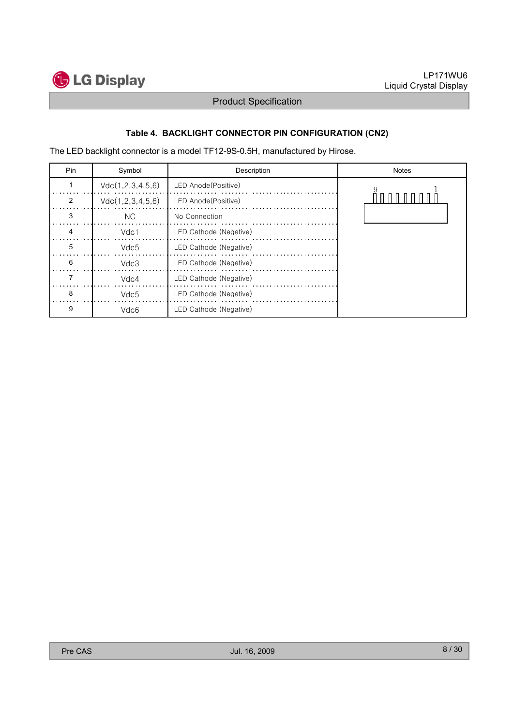

## Table 4. BACKLIGHT CONNECTOR PIN CONFIGURATION (CN2)

The LED backlight connector is a model TF12-9S-0.5H, manufactured by Hirose.

| Pin | Symbol           | Description            | <b>Notes</b> |
|-----|------------------|------------------------|--------------|
|     | Vdc(1,2,3,4,5,6) | LED Anode(Positive)    |              |
| 2   | Vdc(1,2,3,4,5,6) | LED Anode (Positive)   |              |
| 3   | <b>NC</b>        | No Connection          |              |
| 4   | Vdc1             | LED Cathode (Negative) |              |
| 5   | Vdc5             | LED Cathode (Negative) |              |
| 6   | Vdc3             | LED Cathode (Negative) |              |
|     | Vdc4             | LED Cathode (Negative) |              |
| 8   | Vdc5             | LED Cathode (Negative) |              |
| 9   | Vdc6             | LED Cathode (Negative) |              |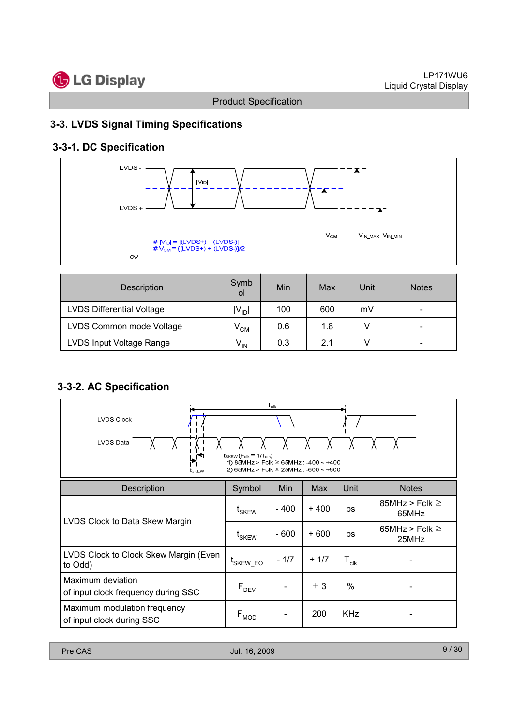



## 3-3. LVDS Signal Timing Specifications

## 3-3-1. DC Specification



| <b>Description</b>               | Symb<br>οl          | Min | Max | Unit | <b>Notes</b>             |
|----------------------------------|---------------------|-----|-----|------|--------------------------|
| <b>LVDS Differential Voltage</b> | $ V_{ID} $          | 100 | 600 | mV   | $\overline{\phantom{0}}$ |
| LVDS Common mode Voltage         | $\rm V^{}_{\rm CM}$ | 0.6 | 1.8 |      | -                        |
| LVDS Input Voltage Range         | $V_{IN}$            | 0.3 | 2.1 |      | $\overline{\phantom{0}}$ |

## 3-3-2. AC Specification

| $\mathsf{T}_{\mathsf{clk}}$<br><b>LVDS Clock</b><br><b>LVDS Data</b><br>$t_{SKEW}$ ( $F_{clk}$ = 1/ $T_{clk}$ )<br>$\blacktriangleright$<br>1) 85MHz > Fclk $\geq$ 65MHz : -400 ~ +400<br>2) 65MHz > Fclk $\geq$ 25MHz : -600 $\sim$ +600<br>t <sub>skew</sub> |                      |        |        |                             |                              |  |  |
|----------------------------------------------------------------------------------------------------------------------------------------------------------------------------------------------------------------------------------------------------------------|----------------------|--------|--------|-----------------------------|------------------------------|--|--|
| <b>Description</b>                                                                                                                                                                                                                                             | Symbol               | Min    | Max    | Unit                        | <b>Notes</b>                 |  |  |
| LVDS Clock to Data Skew Margin                                                                                                                                                                                                                                 | t <sub>SKEW</sub>    | - 400  | $+400$ | ps                          | 85MHz > Fclk $\geq$<br>65MHz |  |  |
|                                                                                                                                                                                                                                                                | t <sub>SKEW</sub>    | $-600$ | $+600$ | ps                          | 65MHz > Fclk $\geq$<br>25MHz |  |  |
| LVDS Clock to Clock Skew Margin (Even<br>to Odd)                                                                                                                                                                                                               | <sup>L</sup> SKEW EO | $-1/7$ | $+1/7$ | $\mathsf{T}_{\mathsf{clk}}$ |                              |  |  |
| Maximum deviation<br>of input clock frequency during SSC                                                                                                                                                                                                       | $F_{DEV}$            |        | ± 3    | $\%$                        |                              |  |  |
| Maximum modulation frequency<br>of input clock during SSC                                                                                                                                                                                                      | $F_{MOD}$            |        | 200    | <b>KHz</b>                  |                              |  |  |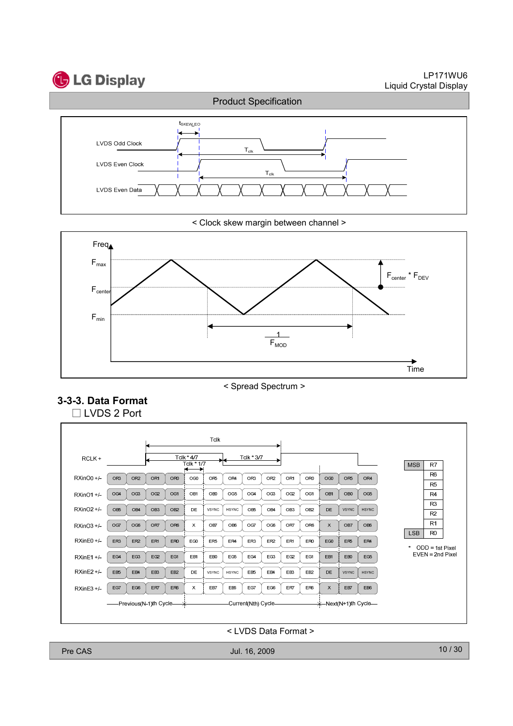# **G** LG Display

LP171WU6 Liquid Crystal Display



< Clock skew margin between channel >



< Spread Spectrum >





< LVDS Data Format >

Pre CAS 10/30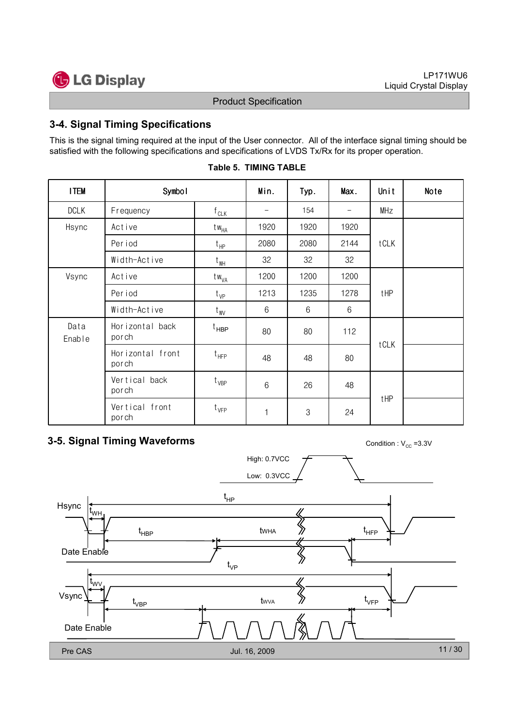

## 3-4. Signal Timing Specifications

This is the signal timing required at the input of the User connector. All of the interface signal timing should be satisfied with the following specifications and specifications of LVDS Tx/Rx for its proper operation.

| <b>I TEM</b>   | Symbol                    |                  | Min.                         | Typ.          | Max.                         | Unit | Note |
|----------------|---------------------------|------------------|------------------------------|---------------|------------------------------|------|------|
| <b>DCLK</b>    | Frequency                 | $f_{CLK}$        | $\qquad \qquad \blacksquare$ | 154           | $\qquad \qquad \blacksquare$ | MHz  |      |
| Hsync          | Active                    | $tw_{HA}$        | 1920                         | 1920          | 1920                         |      |      |
|                | Per iod                   | $t_{HP}$         | 2080                         | 2080          | 2144                         | tCLK |      |
|                | Width-Active              | $t_{\rm WH}$     | 32                           | 32            | 32                           |      |      |
| Vsync          | Active                    | tw <sub>VA</sub> | 1200                         | 1200          | 1200                         |      |      |
|                | Per iod                   | $t_{VP}$         | 1213                         | 1235          | 1278                         | tHP  |      |
|                | Width-Active              | $t_{\text{WV}}$  | 6                            | $6\,$         | 6                            |      |      |
| Data<br>Enable | Horizontal back<br>porch  | t <sub>HBP</sub> | 80                           | 80            | 112                          |      |      |
|                | Horizontal front<br>porch | $t_{HFP}$        | 48                           | 48            | 80                           | tCLK |      |
|                | Vertical back<br>porch    | $t_{VBP}$        | 6                            | 26            | 48                           |      |      |
|                | Vertical front<br>porch   | $t_{VFP}$        | 1                            | $\mathcal{S}$ | 24                           | tHP  |      |

#### Table 5. TIMING TABLE

## **3-5. Signal Timing Waveforms** Condition :  $V_{cc}$  =3.3V

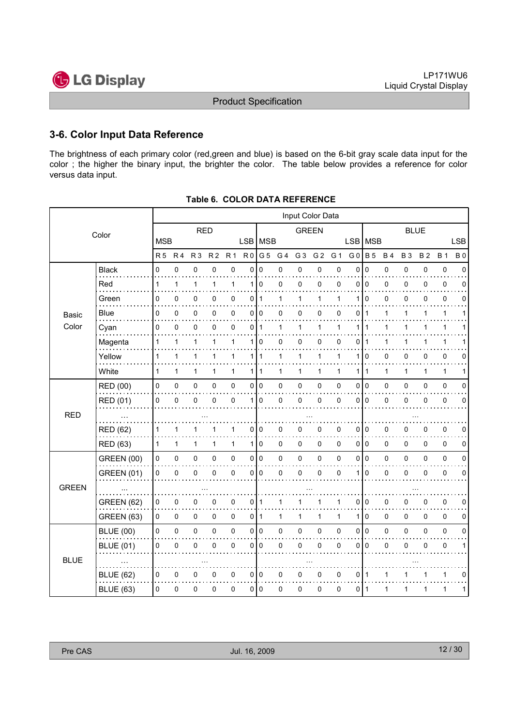

## 3-6. Color Input Data Reference

The brightness of each primary color (red,green and blue) is based on the 6-bit gray scale data input for the color ; the higher the binary input, the brighter the color. The table below provides a reference for color versus data input.

|              | Input Color Data  |              |                |                |                |                     |                |                |              |                |                |              |                 |              |           |             |             |             |             |
|--------------|-------------------|--------------|----------------|----------------|----------------|---------------------|----------------|----------------|--------------|----------------|----------------|--------------|-----------------|--------------|-----------|-------------|-------------|-------------|-------------|
|              | Color             |              |                | <b>RED</b>     |                |                     |                | <b>GREEN</b>   |              |                |                | <b>BLUE</b>  |                 |              |           |             |             |             |             |
|              |                   | <b>MSB</b>   |                |                |                |                     |                | LSB   MSB      |              |                |                |              | <b>LSB</b>      | <b>MSB</b>   |           |             |             |             | <b>LSB</b>  |
|              |                   | <b>R5</b>    | R <sub>4</sub> | R <sub>3</sub> | R <sub>2</sub> | <b>R1</b>           | R <sub>0</sub> | G <sub>5</sub> | G 4          | G <sub>3</sub> | G <sub>2</sub> | G 1          | G <sub>0</sub>  | <b>B</b> 5   | <b>B4</b> | <b>B3</b>   | <b>B2</b>   | <b>B</b> 1  | <b>B</b> 0  |
|              | <b>Black</b>      | 0            | 0              | $\pmb{0}$      | 0              | $\pmb{0}$           | $\mathbf 0$    | 0              | 0            | 0              | 0              | 0            | 0               | $\mathbf 0$  | 0         | 0           | 0           | $\pmb{0}$   | $\mathbf 0$ |
|              | Red               | $\mathbf{1}$ | 1              | 1              | 1              | 1                   | 1              | $\mathbf 0$    | 0            | 0              | 0              | 0            | 0               | $\mathbf 0$  | 0         | 0           | 0           | 0           | 0           |
|              | Green             | 0            | $\mathbf 0$    | 0              | 0              | 0                   | 0              | $\mathbf{1}$   | 1            | $\mathbf{1}$   | 1              | 1            | 1               | $\Omega$     | 0         | 0           | 0           | 0           | 0           |
| Basic        | Blue              | 0            | 0              | 0              | 0              | 0                   | $\overline{0}$ | l O            | 0            | 0              | 0              | 0            | 0               | $\mathbf 1$  | 1         | 1           | 1           | 1           | 1           |
| Color        | Cyan              | 0            | 0              | 0              | 0              | 0                   | 0              | $\mathbf{1}$   | 1            | 1              | 1              | 1            | 1               | 1            | 1         | 1           |             | 1           |             |
|              | Magenta           | $\mathbf{1}$ | 1              | 1              | 1              | $\mathbf{1}$        | 1              | $\Omega$       | 0            | 0              | 0              | 0            | 0               | 1            | 1         | 1           |             | 1           |             |
|              | Yellow            | $\mathbf{1}$ | 1              | 1              | 1              | $\mathbf{1}$        |                | 111            | $\mathbf{1}$ | $\mathbf{1}$   | $\mathbf{1}$   | 1            | 1               | $\mathbf 0$  | 0         | 0           | 0           | 0           | 0           |
|              | White             | 1            | 1              | 1              | 1              | $\mathbf{1}$        |                | 1   1          | 1            | 1              | 1              | 1            | 1               | $\mathbf{1}$ | 1         | 1           | 1           | 1           | 1           |
|              | <b>RED (00)</b>   | $\pmb{0}$    | 0              | 0              | 0              | $\pmb{0}$           |                | 010            | 0            | 0              | 0              | 0            | 0               | I٥           | 0         | 0           | 0           | $\pmb{0}$   | $\mathbf 0$ |
|              | <b>RED (01)</b>   | 0            | $\mathbf 0$    | 0              | 0              | 0                   | 1 <sup>1</sup> | $\Omega$       | 0            | $\Omega$       | $\mathbf 0$    | $\mathbf 0$  | 0               | $\Omega$     | 0         | $\mathbf 0$ | 0           | 0           | $\Omega$    |
| <b>RED</b>   |                   |              |                |                |                |                     |                |                |              |                |                |              |                 |              |           |             |             |             |             |
|              | <b>RED (62)</b>   | 1            | 1              | 1              |                | 1                   | 0              | 0              | 0            | 0              | 0              | 0            | 0               | 0            | 0         | 0           | 0           | 0           | 0           |
|              | <b>RED (63)</b>   | $\mathbf{1}$ | $\mathbf{1}$   | 1              | 1              | $\mathbf{1}$        |                | 110            | 0            | 0              | 0              | $\mathbf{0}$ | 0 <sup>10</sup> |              | 0         | $\Omega$    | $\mathbf 0$ | 0           | 0           |
|              | <b>GREEN (00)</b> | 0            | 0              | 0              | 0              | $\mathsf 0$         |                | 0 0            | 0            | $\pmb{0}$      | $\pmb{0}$      | 0            | 0               | I٥           | 0         | 0           | 0           | $\pmb{0}$   | 0           |
|              | <b>GREEN (01)</b> | 0            | 0              | 0              | 0              | 0                   | 0              | 0              | 0            | 0              | $\pmb{0}$      | 0            | 1               | $\mathbf 0$  | 0         | 0           | 0           | 0           | $\mathbf 0$ |
| <b>GREEN</b> |                   |              |                |                |                |                     |                |                |              |                |                |              |                 |              |           |             |             |             |             |
|              | <b>GREEN (62)</b> | 0            | 0              | 0              | 0              | 0                   | 0              | $\mathbf 1$    | 1            |                | 1              | 1            | 0               | 0            | 0         | 0           | 0           | $\pmb{0}$   | 0           |
|              | GREEN (63)        | 0            | 0              | $\pmb{0}$      | 0              | $\mathsf{O}\xspace$ | $\overline{0}$ | $\mathbf{1}$   | 1            | $\mathbf{1}$   | 1              | 1            | 1               | $\mathbf 0$  | $\pmb{0}$ | 0           | 0           | $\mathbf 0$ | 0           |
|              | <b>BLUE (00)</b>  | 0            | 0              | $\pmb{0}$      | 0              | $\mathsf{O}\xspace$ |                | 0 0            | 0            | $\pmb{0}$      | $\pmb{0}$      | 0            | 0               | I٥           | 0         | 0           | 0           | $\pmb{0}$   | $\pmb{0}$   |
|              | <b>BLUE (01)</b>  | 0            | $\mathbf 0$    | 0              | 0              | 0                   | $\mathbf 0$    | $\Omega$       | 0            | 0              | 0              | $\mathbf 0$  | 0               | ۱o           | 0         | $\mathbf 0$ | 0           | $\pmb{0}$   | 1           |
| <b>BLUE</b>  |                   |              |                |                |                |                     |                |                |              |                |                |              |                 |              |           |             |             |             |             |
|              | <b>BLUE (62)</b>  | 0            | 0              | 0              | 0              | 0                   |                | 010            | 0            | 0              | 0              | 0            | 0               | -1           | 1         |             |             | 1           | 0           |
|              | <b>BLUE (63)</b>  | $\Omega$     | 0              | 0              | 0              | $\mathsf{O}\xspace$ |                | 010            | 0            | 0              | 0              | 0            | 0               | l 1          | 1         | 1           | 1           | 1           | 1           |

Table 6. COLOR DATA REFERENCE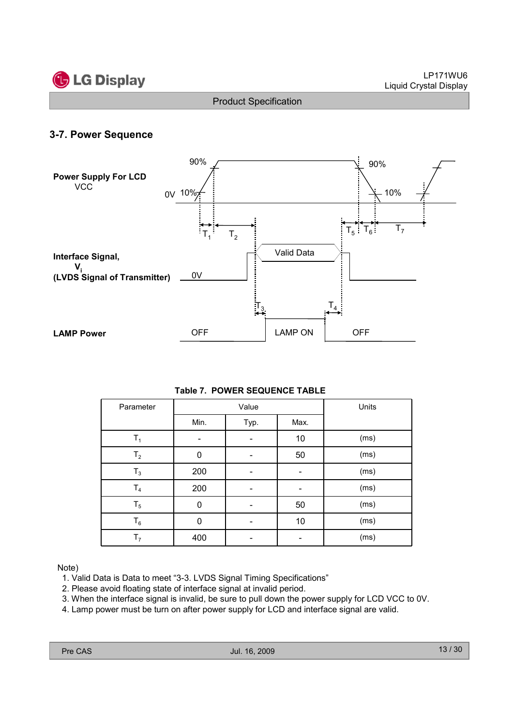

## 3-7. Power Sequence



#### Table 7. POWER SEQUENCE TABLE

| Parameter      |      | Value |      | Units |
|----------------|------|-------|------|-------|
|                | Min. | Typ.  | Max. |       |
| T <sub>1</sub> |      |       | 10   | (ms)  |
| T <sub>2</sub> | 0    |       | 50   | (ms)  |
| $T_3$          | 200  |       |      | (ms)  |
| T <sub>4</sub> | 200  |       |      | (ms)  |
| $T_5$          | 0    |       | 50   | (ms)  |
| $T_6$          | 0    |       | 10   | (ms)  |
| T <sub>7</sub> | 400  |       |      | (ms)  |

#### Note)

- 1. Valid Data is Data to meet "3-3. LVDS Signal Timing Specifications"
- 2. Please avoid floating state of interface signal at invalid period.
- 3. When the interface signal is invalid, be sure to pull down the power supply for LCD VCC to 0V.
- 4. Lamp power must be turn on after power supply for LCD and interface signal are valid.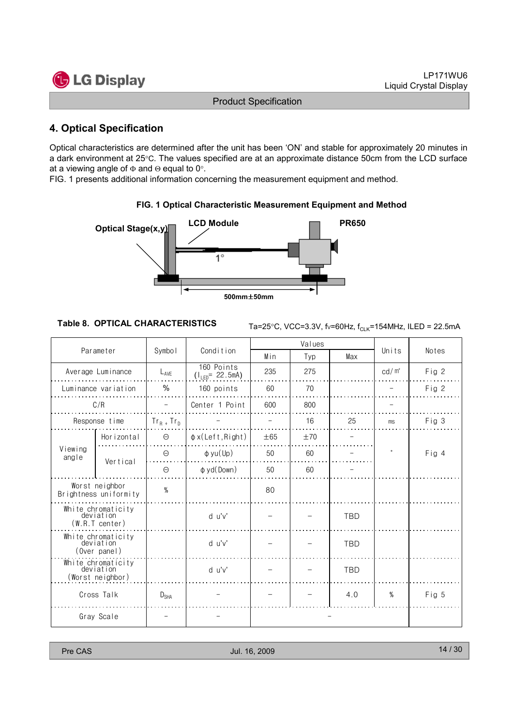

## 4. Optical Specification

Optical characteristics are determined after the unit has been 'ON' and stable for approximately 20 minutes in a dark environment at 25°C. The values specified are at an approximate distance 50cm from the LCD surface at a viewing angle of  $\Phi$  and  $\Theta$  equal to 0°.

FIG. 1 presents additional information concerning the measurement equipment and method.



#### FIG. 1 Optical Characteristic Measurement Equipment and Method

Table 8. OPTICAL CHARACTERISTICS  $T_{\text{a}=25\degree C, \text{VCC}=3.3\text{V}, \text{f}\text{v}=60\text{Hz}, \text{f}_{\text{C1 K}}=154\text{MHz}, \text{ILED} = 22.5\text{mA}$ 

|                                                     |                                                   |                  |                                    |          | Values |            |                   |       |  |
|-----------------------------------------------------|---------------------------------------------------|------------------|------------------------------------|----------|--------|------------|-------------------|-------|--|
|                                                     | Parameter                                         | Symbol           | Condition                          | Min      | Typ    | Max        | Units             | Notes |  |
|                                                     | Average Luminance                                 | $L_{AVE}$        | 160 Points<br>$(1_{LED} = 22.5mA)$ | 235      | 275    |            | cd/m <sup>2</sup> | Fig 2 |  |
| Luminance variation                                 |                                                   | $\%$             | 160 points                         | 60       | 70     |            |                   | Fig 2 |  |
|                                                     | C/R                                               |                  | Center 1 Point                     | 600      | 800    |            |                   |       |  |
|                                                     | Response time                                     | $Tr_R$ + $Tr_D$  |                                    |          | 16     | 25         | ms                | Fig 3 |  |
|                                                     | Horizontal                                        | $\Theta$         | $\phi$ x(Left, Right)              | $\pm 65$ | ±70    |            |                   |       |  |
| Viewing<br>angle                                    | Vertical                                          | $\Theta$         | $\phi$ yu(Up)                      | 50       | 60     |            | $\circ$           | Fig 4 |  |
|                                                     |                                                   | $\Theta$         | $\phi$ yd(Down)<br>50<br>60        |          |        |            |                   |       |  |
| Worst neighbor<br>Brightness uniformity             |                                                   | $\%$             |                                    | 80       |        |            |                   |       |  |
|                                                     | White chromaticity<br>deviation<br>(W.R.T center) |                  | d u'v'                             |          |        | <b>TBD</b> |                   |       |  |
| White chromaticity<br>deviation<br>(Over panel)     |                                                   |                  | d u'v'                             |          |        | <b>TBD</b> |                   |       |  |
| White chromaticity<br>deviation<br>(Worst neighbor) |                                                   |                  | d u'v'                             |          |        | <b>TBD</b> |                   |       |  |
| Cross Talk                                          |                                                   | $D_{\text{SHA}}$ |                                    |          |        | 4.0        | $\%$              | Fig 5 |  |
|                                                     | Gray Scale                                        |                  |                                    |          |        |            |                   |       |  |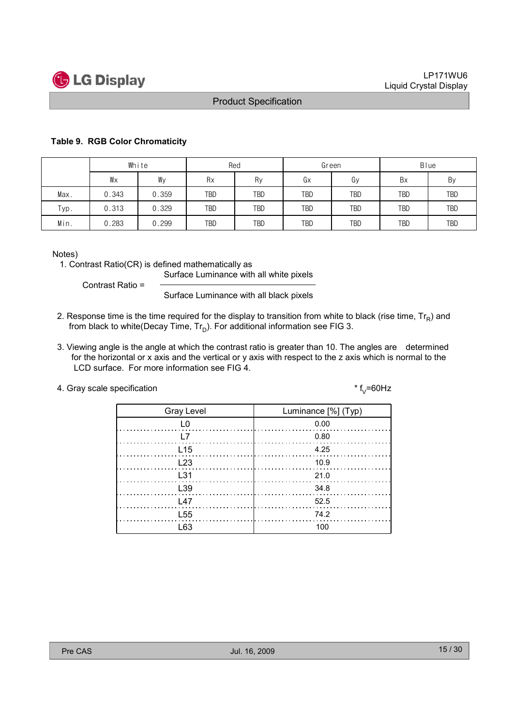

#### Table 9. RGB Color Chromaticity

|      | White |       |            | Red |            | Green      | Blue       |            |  |
|------|-------|-------|------------|-----|------------|------------|------------|------------|--|
|      | Wx    | Wy    | Rx         | Ry  | Gx         | Gу         | Bx         | By         |  |
| Max. | 0.343 | 0.359 | TBD        | TBD | TBD        | <b>TBD</b> | TBD        | <b>TBD</b> |  |
| Typ. | 0.313 | 0.329 | TBD        | TBD | <b>TBD</b> | <b>TBD</b> | <b>TBD</b> | TBD        |  |
| Min. | 0.283 | 0.299 | <b>TBD</b> | TBD | TBD        | <b>TBD</b> | TBD        | <b>TBD</b> |  |

Notes)

1. Contrast Ratio(CR) is defined mathematically as

Surface Luminance with all white pixels

Contrast Ratio =

Surface Luminance with all black pixels

- 2. Response time is the time required for the display to transition from white to black (rise time,  $Tr_R$ ) and from black to white(Decay Time,  $Tr_D$ ). For additional information see FIG 3.
- 3. Viewing angle is the angle at which the contrast ratio is greater than 10. The angles are determined for the horizontal or x axis and the vertical or y axis with respect to the z axis which is normal to the LCD surface. For more information see FIG 4.

| 4. Gray scale specification | * $f_{v}$ =60Hz |
|-----------------------------|-----------------|
|-----------------------------|-----------------|

| <b>Gray Level</b> | Luminance [%] (Typ)         |
|-------------------|-----------------------------|
| L0                | 0.00                        |
| <u> 17</u>        | 0.80                        |
| L <sub>15</sub>   | 4.25                        |
| L23               | 10.9                        |
| $\pm$ 31          | $\ldots \ldots \ldots 21.0$ |
| L <sub>39</sub>   | - 34.8                      |
| L47               | 52.5                        |
| L <sub>55</sub>   | 74.2                        |
| l 63              |                             |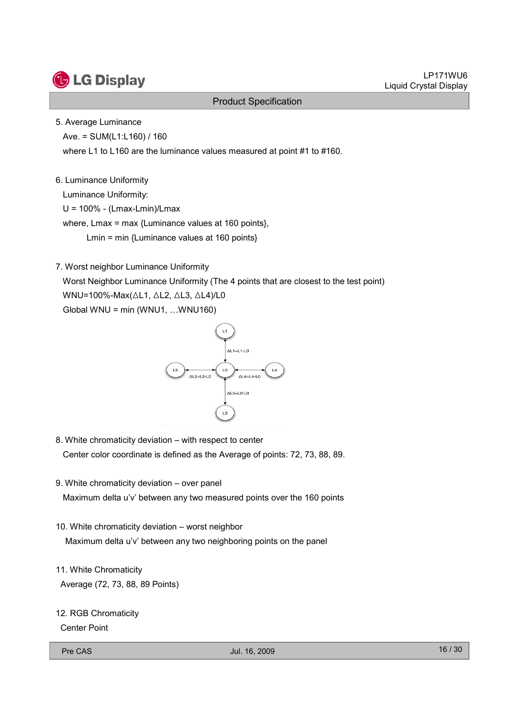

#### 5. Average Luminance

Ave. = SUM(L1:L160) / 160

where L1 to L160 are the luminance values measured at point #1 to #160.

#### 6. Luminance Uniformity

Luminance Uniformity:

U = 100% - (Lmax-Lmin)/Lmax

where, Lmax = max {Luminance values at 160 points},

Lmin = min {Luminance values at 160 points}

7. Worst neighbor Luminance Uniformity

Worst Neighbor Luminance Uniformity (The 4 points that are closest to the test point)

WNU=100%-Max(△L1, △L2, △L3, △L4)/L0

Global WNU = min (WNU1, …WNU160)



- 8. White chromaticity deviation with respect to center Center color coordinate is defined as the Average of points: 72, 73, 88, 89.
- 9. White chromaticity deviation over panel Maximum delta u'v' between any two measured points over the 160 points
- 10. White chromaticity deviation worst neighbor Maximum delta u'v' between any two neighboring points on the panel
- 11. White Chromaticity Average (72, 73, 88, 89 Points)
- 12. RGB Chromaticity

Center Point

Pre CAS 16 / 30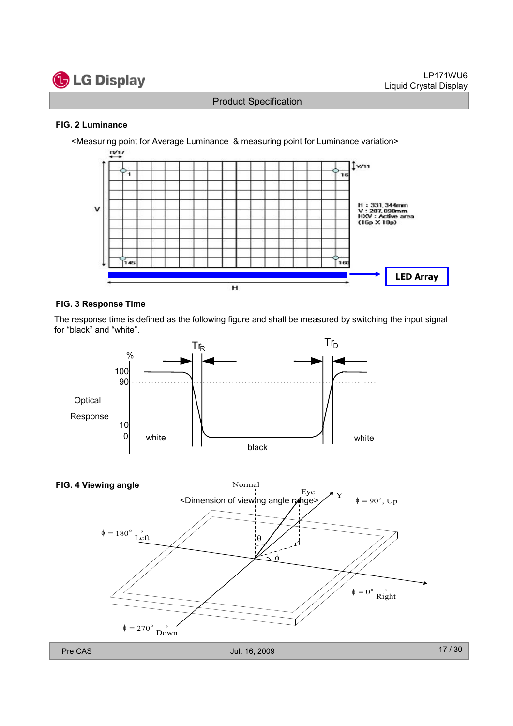

#### FIG. 2 Luminance



#### FIG. 3 Response Time

The response time is defined as the following figure and shall be measured by switching the input signal for "black" and "white".



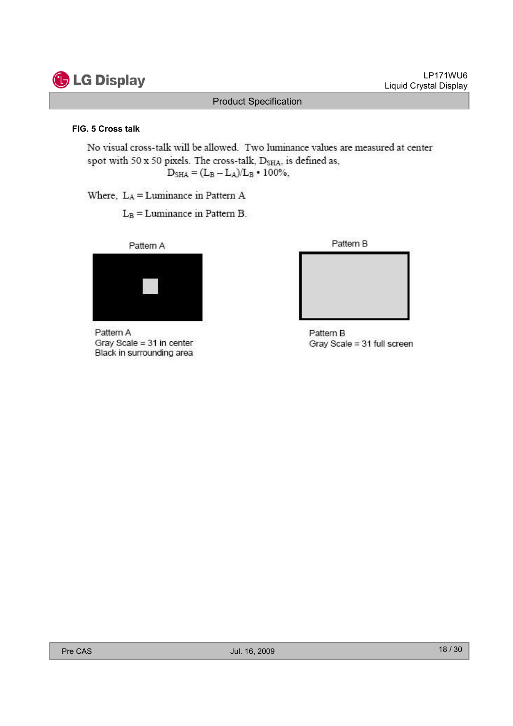

Liquid Crystal Display

LP171WU6

#### FIG. 5 Cross talk

No visual cross-talk will be allowed. Two luminance values are measured at center spot with 50 x 50 pixels. The cross-talk, D<sub>SHA</sub>, is defined as,  $D_{\rm SHA} = (L_{\rm B} - L_{\rm A})/L_{\rm B} \cdot 100\%,$ 

Product Specification

Where, LA = Luminance in Pattern A

 $L_B =$ Luminance in Pattern B.



Pattern A Gray Scale = 31 in center Black in surrounding area



Pattern B Gray Scale = 31 full screen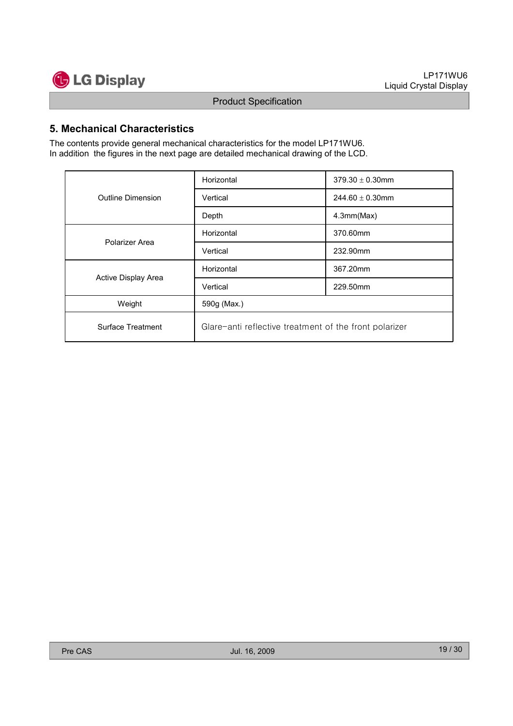

### 5. Mechanical Characteristics

The contents provide general mechanical characteristics for the model LP171WU6. In addition the figures in the next page are detailed mechanical drawing of the LCD.

|                     | Horizontal                                             | $379.30 \pm 0.30$ mm |  |  |  |  |  |
|---------------------|--------------------------------------------------------|----------------------|--|--|--|--|--|
| Outline Dimension   | Vertical                                               | 244.60 $\pm$ 0.30mm  |  |  |  |  |  |
|                     | Depth                                                  | 4.3mm(Max)           |  |  |  |  |  |
| Polarizer Area      | Horizontal                                             | 370.60mm             |  |  |  |  |  |
|                     | Vertical                                               | 232.90mm             |  |  |  |  |  |
|                     | Horizontal                                             | 367.20mm             |  |  |  |  |  |
| Active Display Area | Vertical                                               | 229.50mm             |  |  |  |  |  |
| Weight              | 590g (Max.)                                            |                      |  |  |  |  |  |
| Surface Treatment   | Glare-anti reflective treatment of the front polarizer |                      |  |  |  |  |  |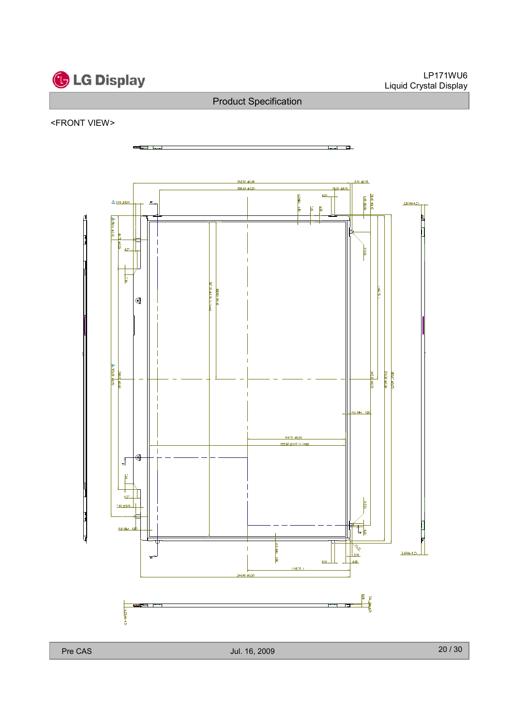

#### <FRONT VIEW>

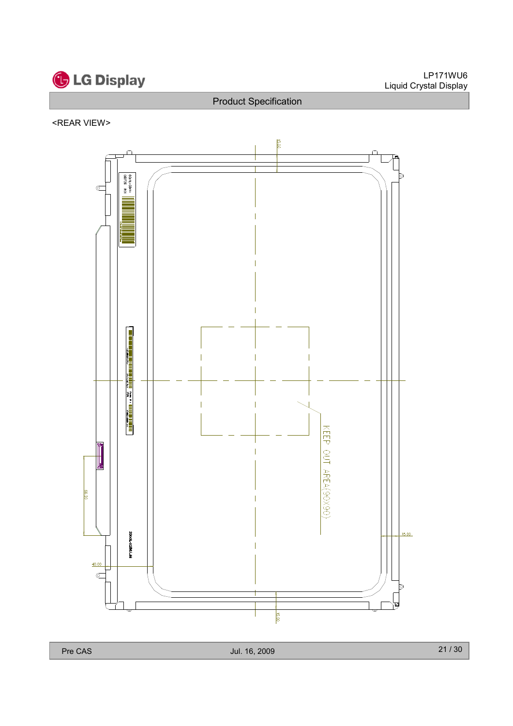

#### <REAR VIEW>



Pre CAS 2009 21 / 30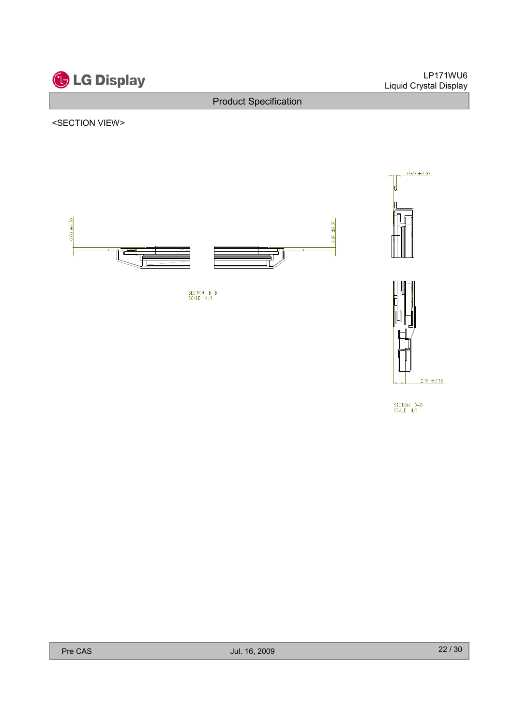

 $2.19 \pm 0.30$ 

SECTION D-D<br>SCALE 4/1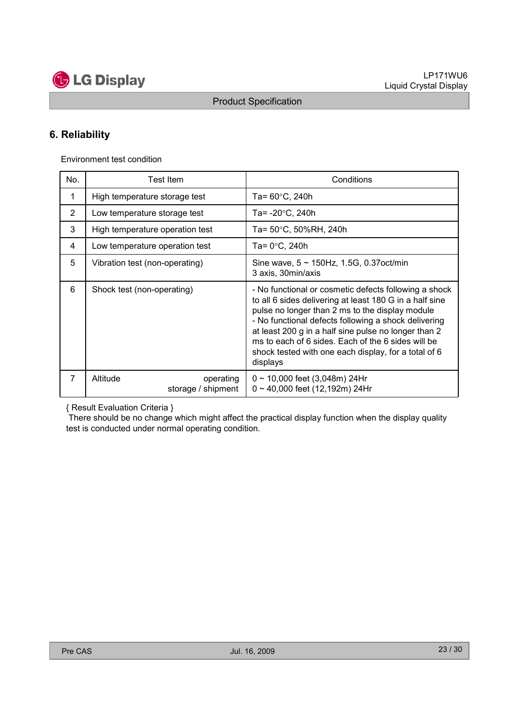

## 6. Reliability

Environment test condition

| No.            | <b>Test Item</b>                            | Conditions                                                                                                                                                                                                                                                                                                                                                                                                    |  |  |  |  |  |
|----------------|---------------------------------------------|---------------------------------------------------------------------------------------------------------------------------------------------------------------------------------------------------------------------------------------------------------------------------------------------------------------------------------------------------------------------------------------------------------------|--|--|--|--|--|
| 1              | High temperature storage test               | Ta= $60^{\circ}$ C, 240h                                                                                                                                                                                                                                                                                                                                                                                      |  |  |  |  |  |
| $\overline{2}$ | Low temperature storage test                | Ta= -20°C, 240h                                                                                                                                                                                                                                                                                                                                                                                               |  |  |  |  |  |
| 3              | High temperature operation test             | Ta= 50°C, 50%RH, 240h                                                                                                                                                                                                                                                                                                                                                                                         |  |  |  |  |  |
| 4              | Low temperature operation test              | Ta= $0^{\circ}$ C, 240h                                                                                                                                                                                                                                                                                                                                                                                       |  |  |  |  |  |
| 5              | Vibration test (non-operating)              | Sine wave, $5 \sim 150$ Hz, 1.5G, 0.37oct/min<br>3 axis, 30min/axis                                                                                                                                                                                                                                                                                                                                           |  |  |  |  |  |
| 6              | Shock test (non-operating)                  | - No functional or cosmetic defects following a shock<br>to all 6 sides delivering at least 180 G in a half sine<br>pulse no longer than 2 ms to the display module<br>- No functional defects following a shock delivering<br>at least 200 g in a half sine pulse no longer than 2<br>ms to each of 6 sides. Each of the 6 sides will be<br>shock tested with one each display, for a total of 6<br>displays |  |  |  |  |  |
| $\overline{7}$ | Altitude<br>operating<br>storage / shipment | $0 \sim 10,000$ feet (3,048m) 24Hr<br>$0 \sim 40,000$ feet (12,192m) 24Hr                                                                                                                                                                                                                                                                                                                                     |  |  |  |  |  |

{ Result Evaluation Criteria }

There should be no change which might affect the practical display function when the display quality test is conducted under normal operating condition.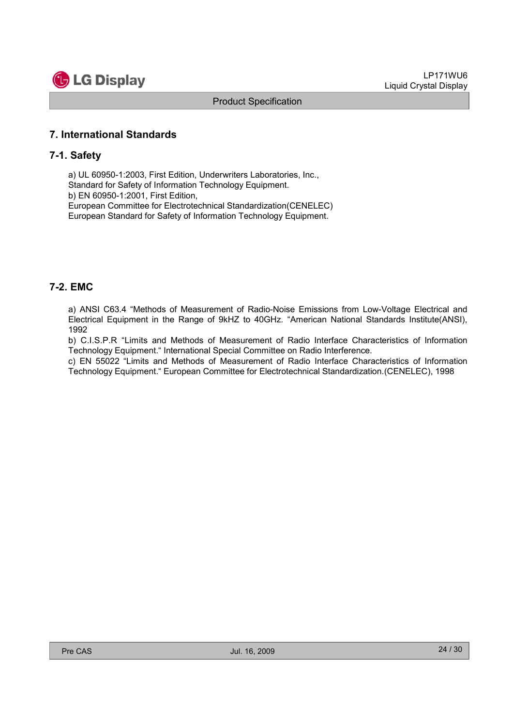

#### 7. International Standards

#### 7-1. Safety

a) UL 60950-1:2003, First Edition, Underwriters Laboratories, Inc., Standard for Safety of Information Technology Equipment. b) EN 60950-1:2001, First Edition, European Committee for Electrotechnical Standardization(CENELEC) European Standard for Safety of Information Technology Equipment.

#### 7-2. EMC

a) ANSI C63.4 "Methods of Measurement of Radio-Noise Emissions from Low-Voltage Electrical and Electrical Equipment in the Range of 9kHZ to 40GHz. "American National Standards Institute(ANSI), 1992

b) C.I.S.P.R "Limits and Methods of Measurement of Radio Interface Characteristics of Information Technology Equipment." International Special Committee on Radio Interference.

c) EN 55022 "Limits and Methods of Measurement of Radio Interface Characteristics of Information Technology Equipment." European Committee for Electrotechnical Standardization.(CENELEC), 1998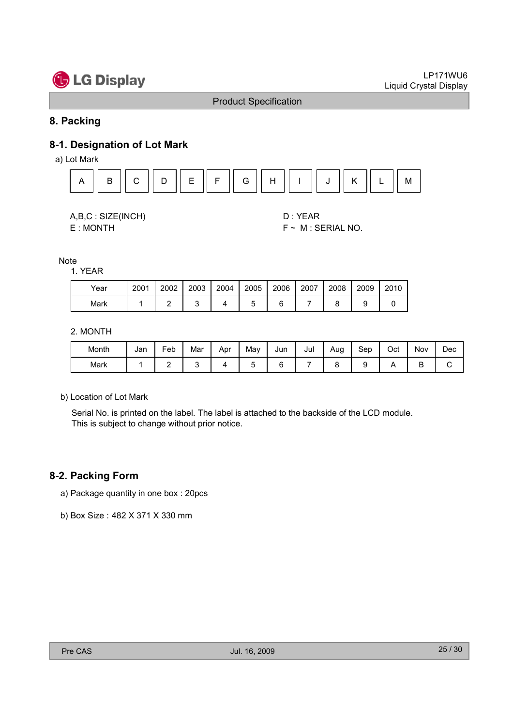# **G** LG Display

#### Product Specification

### 8. Packing

## 8-1. Designation of Lot Mark

a) Lot Mark





E : MONTH F ~ M : SERIAL NO.

**Note** 

1. YEAR

| Year | 2001 | 2002 | 2003 | 2004 | 2005 | 2006 | 2007 | 2008 | 2009 | 2010 |
|------|------|------|------|------|------|------|------|------|------|------|
| Mark |      |      |      |      |      |      |      |      |      |      |

2. MONTH

| Month | Jan | Feb | Mar | Apr | May | Jun | Jul | Aug | Sep | Oct | Nov | Dec |
|-------|-----|-----|-----|-----|-----|-----|-----|-----|-----|-----|-----|-----|
| Mark  |     | -   |     |     |     |     |     |     |     |     | ◡   |     |

b) Location of Lot Mark

Serial No. is printed on the label. The label is attached to the backside of the LCD module. This is subject to change without prior notice.

#### 8-2. Packing Form

- a) Package quantity in one box : 20pcs
- b) Box Size : 482 X 371 X 330 mm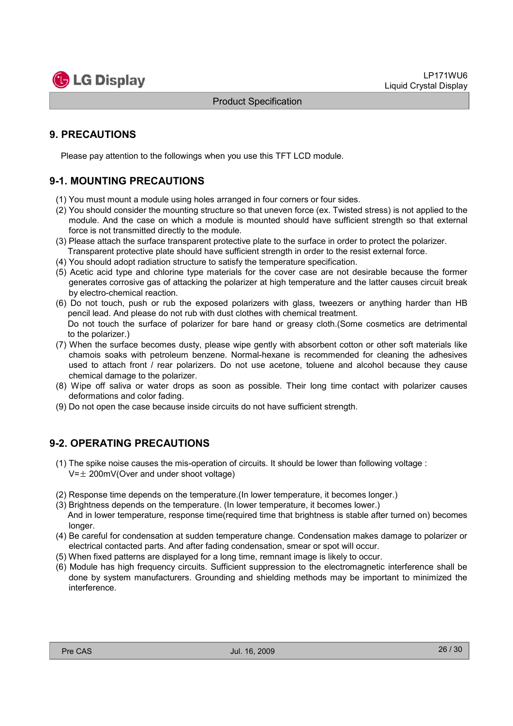

## 9. PRECAUTIONS

Please pay attention to the followings when you use this TFT LCD module.

## 9-1. MOUNTING PRECAUTIONS

- (1) You must mount a module using holes arranged in four corners or four sides.
- (2) You should consider the mounting structure so that uneven force (ex. Twisted stress) is not applied to the module. And the case on which a module is mounted should have sufficient strength so that external force is not transmitted directly to the module.
- (3) Please attach the surface transparent protective plate to the surface in order to protect the polarizer. Transparent protective plate should have sufficient strength in order to the resist external force.
- (4) You should adopt radiation structure to satisfy the temperature specification.
- (5) Acetic acid type and chlorine type materials for the cover case are not desirable because the former generates corrosive gas of attacking the polarizer at high temperature and the latter causes circuit break by electro-chemical reaction.
- (6) Do not touch, push or rub the exposed polarizers with glass, tweezers or anything harder than HB pencil lead. And please do not rub with dust clothes with chemical treatment. Do not touch the surface of polarizer for bare hand or greasy cloth.(Some cosmetics are detrimental to the polarizer.)
- (7) When the surface becomes dusty, please wipe gently with absorbent cotton or other soft materials like chamois soaks with petroleum benzene. Normal-hexane is recommended for cleaning the adhesives used to attach front / rear polarizers. Do not use acetone, toluene and alcohol because they cause chemical damage to the polarizer.
- (8) Wipe off saliva or water drops as soon as possible. Their long time contact with polarizer causes deformations and color fading.
- (9) Do not open the case because inside circuits do not have sufficient strength.

### 9-2. OPERATING PRECAUTIONS

- (1) The spike noise causes the mis-operation of circuits. It should be lower than following voltage :  $V=\pm 200$ mV(Over and under shoot voltage)
- (2) Response time depends on the temperature.(In lower temperature, it becomes longer.)
- (3) Brightness depends on the temperature. (In lower temperature, it becomes lower.) And in lower temperature, response time(required time that brightness is stable after turned on) becomes longer.
- (4) Be careful for condensation at sudden temperature change. Condensation makes damage to polarizer or electrical contacted parts. And after fading condensation, smear or spot will occur.
- (5) When fixed patterns are displayed for a long time, remnant image is likely to occur.
- (6) Module has high frequency circuits. Sufficient suppression to the electromagnetic interference shall be done by system manufacturers. Grounding and shielding methods may be important to minimized the interference.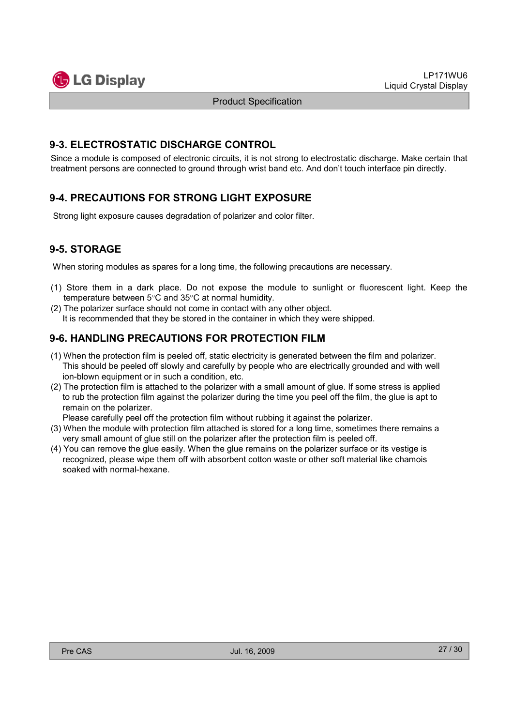

## 9-3. ELECTROSTATIC DISCHARGE CONTROL

Since a module is composed of electronic circuits, it is not strong to electrostatic discharge. Make certain that treatment persons are connected to ground through wrist band etc. And don't touch interface pin directly.

## 9-4. PRECAUTIONS FOR STRONG LIGHT EXPOSURE

Strong light exposure causes degradation of polarizer and color filter.

## 9-5. STORAGE

When storing modules as spares for a long time, the following precautions are necessary.

- (1) Store them in a dark place. Do not expose the module to sunlight or fluorescent light. Keep the temperature between 5°C and 35°C at normal humidity.
- (2) The polarizer surface should not come in contact with any other object. It is recommended that they be stored in the container in which they were shipped.

## 9-6. HANDLING PRECAUTIONS FOR PROTECTION FILM

- (1) When the protection film is peeled off, static electricity is generated between the film and polarizer. This should be peeled off slowly and carefully by people who are electrically grounded and with well ion-blown equipment or in such a condition, etc.
- (2) The protection film is attached to the polarizer with a small amount of glue. If some stress is applied to rub the protection film against the polarizer during the time you peel off the film, the glue is apt to remain on the polarizer.

Please carefully peel off the protection film without rubbing it against the polarizer.

- (3) When the module with protection film attached is stored for a long time, sometimes there remains a very small amount of glue still on the polarizer after the protection film is peeled off.
- (4) You can remove the glue easily. When the glue remains on the polarizer surface or its vestige is recognized, please wipe them off with absorbent cotton waste or other soft material like chamois soaked with normal-hexane.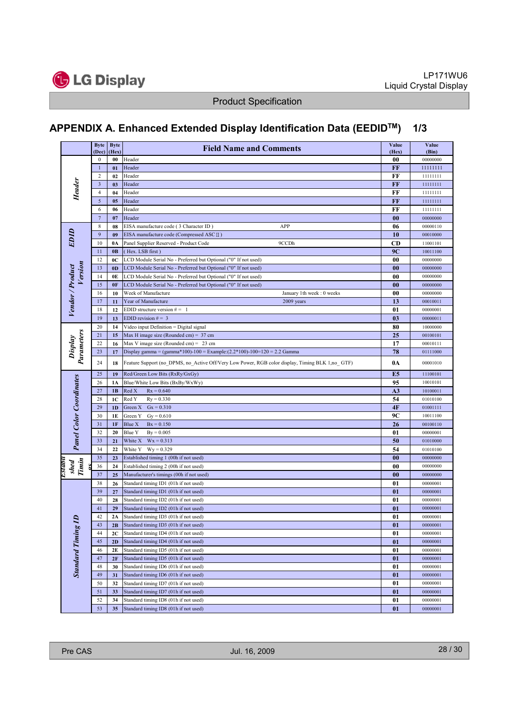

## APPENDIX A. Enhanced Extended Display Identification Data (EEDIDTM) 1/3

|                                | <b>Byte</b>             | <b>Byte</b>    | <b>Field Name and Comments</b>                                                                   | Value             | Value                |
|--------------------------------|-------------------------|----------------|--------------------------------------------------------------------------------------------------|-------------------|----------------------|
|                                | (Dec)<br>0              | (Hex)<br>00    | Header                                                                                           | (Hex)<br>00       | (Bin)<br>00000000    |
|                                | $\mathbf{1}$            | 01             | Header                                                                                           | FF                | 11111111             |
|                                | $\overline{2}$          | 02             | Header                                                                                           | FF                | 11111111             |
|                                | $\overline{\mathbf{3}}$ | 03             | Header                                                                                           | FF                | 11111111             |
| Header                         | 4                       | 04             | Header                                                                                           | FF                | 11111111             |
|                                | $\sqrt{5}$              | 05             | Header                                                                                           | FF                | 11111111             |
|                                | 6                       | 06             | Header                                                                                           | FF                | 11111111             |
|                                | $\overline{7}$          | 07             | Header                                                                                           | $\bf{00}$         | 00000000             |
|                                | 8                       | 08             | APP<br>EISA manufacture code (3 Character ID)                                                    | 06                | 00000110             |
| EDID                           | 9                       | 09             | EISA manufacture code (Compressed ASC II)                                                        | 10                | 00010000             |
|                                | 10                      | 0A             | 9CCDh<br>Panel Supplier Reserved - Product Code                                                  | CD                | 11001101             |
|                                | 11                      | 0B             | Hex. LSB first)                                                                                  | 9C                | 10011100             |
|                                | 12                      | 0C             | LCD Module Serial No - Preferred but Optional ("0" If not used)                                  | $\boldsymbol{00}$ | 00000000             |
| Version                        | 13                      | 0 <sub>D</sub> | LCD Module Serial No - Preferred but Optional ("0" If not used)                                  | $\bf{00}$         | 00000000             |
|                                | 14                      | 0E             | LCD Module Serial No - Preferred but Optional ("0" If not used)                                  | $\boldsymbol{00}$ | 00000000             |
|                                | 15                      | 0F             | LCD Module Serial No - Preferred but Optional ("0" If not used)                                  | $\bf{00}$         | 00000000             |
|                                | 16                      | 10             | Week of Manufacture<br>January 1th week: 0 weeks                                                 | $\boldsymbol{00}$ | 00000000             |
|                                | 17                      | 11             | Year of Manufacture<br>2009 years                                                                | 13                | 00010011             |
| Vendor / Product               | 18                      | 12             | EDID structure version $# = 1$                                                                   | 01                | 00000001             |
|                                | 19                      | 13             | EDID revision $# = 3$                                                                            | 03                | 00000011             |
|                                | 20                      | 14             | Video input Definition = Digital signal                                                          | 80                | 10000000             |
|                                | 21                      | 15             | Max H image size (Rounded cm) = $37$ cm                                                          | 25                | 00100101             |
|                                | 22                      | 16             | Max V image size (Rounded cm) = 23 cm                                                            | 17                | 00010111             |
|                                | 23                      | 17             | Display gamma = (gamma*100)-100 = Example: $(2.2*100)$ -100=120 = 2.2 Gamma                      | 78                | 01111000             |
| Display<br>Parameters          | 24                      | 18             | Feature Support (no_DPMS, no_Active Off/Very Low Power, RGB color display, Timing BLK 1,no_ GTF) | 0A                | 00001010             |
|                                | 25                      | 19             | Red/Green Low Bits (RxRy/GxGy)                                                                   | E <sub>5</sub>    | 11100101             |
| <b>Panel Color Coordinates</b> | 26                      | 1A             | Blue/White Low Bits (BxBy/WxWy)                                                                  | 95                | 10010101             |
|                                | 27                      | 1B             | Red X<br>$Rx = 0.640$                                                                            | A3                | 10100011             |
|                                | 28                      | 1C             | Red Y<br>$Ry = 0.330$                                                                            | 54                | 01010100             |
|                                | 29                      | 1D             | Green X<br>$Gx = 0.310$                                                                          | 4F                | 01001111             |
|                                | 30                      | 1E             | Green Y<br>$Gy = 0.610$                                                                          | 9C                | 10011100             |
|                                | 31                      | 1F             | Blue X<br>$Bx = 0.150$                                                                           | 26                | 00100110             |
|                                | 32                      | 20             | Blue Y<br>$By = 0.005$                                                                           | 01                | 00000001             |
|                                | 33                      | 21             | White X<br>$Wx = 0.313$                                                                          | 50                | 01010000             |
|                                | 34                      | 22             | White Y<br>$Wy = 0.329$                                                                          | 54                | 01010100             |
| shed<br>Timin                  | 35                      | 23             | Established timing 1 (00h if not used)                                                           | 00                | 00000000             |
| nansa                          | 36                      | 24             | Established timing 2 (00h if not used)                                                           | 00                | 00000000             |
|                                | 37                      | 25             | Manufacturer's timings (00h if not used)                                                         | 00                | 00000000             |
|                                | 38<br>39                | 26<br>27       | Standard timing ID1 (01h if not used)                                                            | 01                | 00000001             |
|                                | 40                      | 28             | Standard timing ID1 (01h if not used)                                                            | 01<br>01          | 00000001<br>00000001 |
|                                | 41                      | 29             | Standard timing ID2 (01h if not used)<br>Standard timing ID2 (01h if not used)                   | 01                | 00000001             |
|                                | 42                      | 2A             | Standard timing ID3 (01h if not used)                                                            | 01                | 00000001             |
| g                              | 43                      | 2B             | Standard timing ID3 (01h if not used)                                                            | $\bf{01}$         | 00000001             |
|                                | 44                      | 2C             | Standard timing ID4 (01h if not used)                                                            | 01                | 00000001             |
|                                | 45                      | 2D             | Standard timing ID4 (01h if not used)                                                            | 01                | 00000001             |
|                                | 46                      | 2E             | Standard timing ID5 (01h if not used)                                                            | 01                | 00000001             |
| <b>Standard Timing</b>         | 47                      | 2F             | Standard timing ID5 (01h if not used)                                                            | 01                | 00000001             |
|                                | 48                      | 30             | Standard timing ID6 (01h if not used)                                                            | 01                | 00000001             |
|                                | 49                      | 31             | Standard timing ID6 (01h if not used)                                                            | $\boldsymbol{01}$ | 00000001             |
|                                | 50                      | 32             | Standard timing ID7 (01h if not used)                                                            | 01                | 00000001             |
|                                | 51                      | 33             | Standard timing ID7 (01h if not used)                                                            | 01                | 00000001             |
|                                | 52                      | 34             | Standard timing ID8 (01h if not used)                                                            | 01                | 00000001             |
|                                | 53                      | 35             | Standard timing ID8 (01h if not used)                                                            | 01                | 00000001             |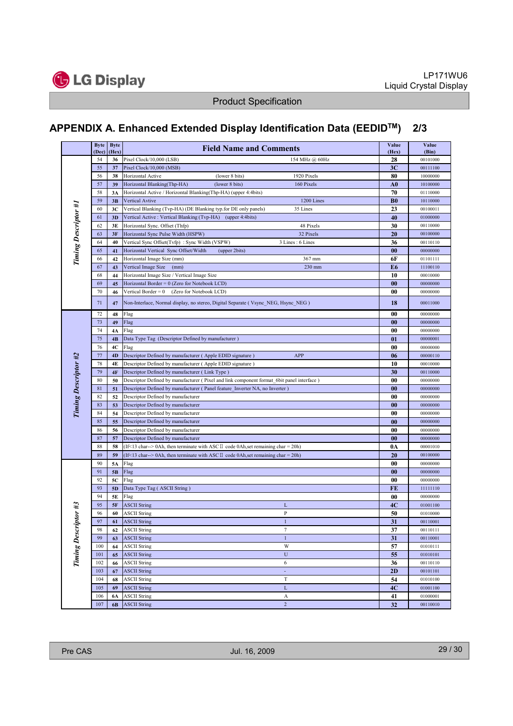

## APPENDIX A. Enhanced Extended Display Identification Data (EEDIDTM) 2/3

|                      | <b>Byte</b><br>(Dec) | <b>Byte</b><br>(Hex) | <b>Field Name and Comments</b>                                                                | Value<br>(Hex)  | Value<br>(Bin) |
|----------------------|----------------------|----------------------|-----------------------------------------------------------------------------------------------|-----------------|----------------|
|                      | 54                   | 36                   | 154 MHz @ 60Hz<br>Pixel Clock/10,000 (LSB)                                                    | 28              | 00101000       |
|                      | 55                   | 37                   | Pixel Clock/10,000 (MSB)                                                                      | 3 <sub>C</sub>  | 00111100       |
|                      | 56                   | 38                   | Horizontal Active<br>(lower 8 bits)<br>1920 Pixels                                            | 80              | 10000000       |
|                      | 57                   | 39                   | (lower 8 bits)<br>160 Pixels<br>Horizontal Blanking(Thp-HA)                                   | ${\bf A0}$      | 10100000       |
|                      | 58                   | 3A                   | Horizontal Active / Horizontal Blanking(Thp-HA) (upper 4:4bits)                               | 70              | 01110000       |
|                      | 59                   | 3B                   | 1200 Lines<br>Vertical Avtive                                                                 | B <sub>0</sub>  | 10110000       |
|                      | 60                   | 3C                   | Vertical Blanking (Tvp-HA) (DE Blanking typ.for DE only panels)<br>35 Lines                   | 23              | 00100011       |
| Timing Descriptor #1 | 61                   | 3D                   | Vertical Active : Vertical Blanking (Tvp-HA) (upper 4:4bits)                                  | 40              | 01000000       |
|                      | 62                   | 3E                   | Horizontal Sync. Offset (Thfp)<br>48 Pixels                                                   | 30              | 00110000       |
|                      | 63                   | 3F                   | Horizontal Sync Pulse Width (HSPW)<br>32 Pixels                                               | 20              | 00100000       |
|                      | 64                   | 40                   | Vertical Sync Offset(Tvfp): Sync Width (VSPW)<br>3 Lines: 6 Lines                             | 36              | 00110110       |
|                      | 65                   | 41                   | Horizontal Vertical Sync Offset/Width<br>(upper 2bits)                                        | 00              | 00000000       |
|                      | 66                   | 42                   | Horizontal Image Size (mm)<br>367 mm                                                          | 6F              | 01101111       |
|                      | 67                   | 43                   | Vertical Image Size (mm)<br>230 mm                                                            | E <sub>6</sub>  | 11100110       |
|                      | 68                   | 44                   | Horizontal Image Size / Vertical Image Size                                                   | 10              | 00010000       |
|                      | 69                   | 45                   | Horizontal Border = 0 (Zero for Notebook LCD)                                                 | 0 <sub>0</sub>  | 00000000       |
|                      | 70                   | 46                   | Vertical Border = 0<br>(Zero for Notebook LCD)                                                | 00              | 00000000       |
|                      | 71                   | 47                   | Non-Interlace, Normal display, no stereo, Digital Separate (Vsync_NEG, Hsync_NEG)             | 18              | 00011000       |
|                      | 72                   | 48                   | Flag                                                                                          | 00              | 00000000       |
|                      | 73                   | 49                   | Flag                                                                                          | $\bf{00}$       | 00000000       |
|                      | 74                   | 4A                   | Flag                                                                                          | 00              | 00000000       |
|                      | 75                   | 4B                   | Data Type Tag (Descriptor Defined by manufacturer)                                            | 01              | 00000001       |
|                      | 76                   | 4C                   | Flag                                                                                          | 00              | 00000000       |
|                      | 77                   | 4D                   | Descriptor Defined by manufacturer (Apple EDID signature)<br>APP                              | 06              | 00000110       |
| Timing Descriptor #2 | 78                   | 4E                   | Descriptor Defined by manufacturer (Apple EDID signature)                                     | 10              | 00010000       |
|                      | 79                   | 4F                   | Descriptor Defined by manufacturer (Link Type)                                                | 30              | 00110000       |
|                      | 80                   | 50                   | Descriptor Defined by manufacturer (Pixel and link component format_6bit panel interface)     | 00              | 00000000       |
|                      | 81                   | 51                   | Descriptor Defined by manufacturer (Panel feature_Inverter NA, no Inverter)                   | $\bf{00}$       | 00000000       |
|                      | 82                   | 52                   | Descriptor Defined by manufacturer                                                            | $\bf{00}$       | 00000000       |
|                      | 83                   | 53                   | Descriptor Defined by manufacturer                                                            | 00              | 00000000       |
|                      | 84                   | 54                   | Descriptor Defined by manufacturer                                                            | 00              | 00000000       |
|                      | 85                   | 55                   | Descriptor Defined by manufacturer                                                            | 00              | 00000000       |
|                      | 86                   | 56                   | Descriptor Defined by manufacturer                                                            | $\bf{00}$       | 00000000       |
|                      | 87                   | 57                   | Descriptor Defined by manufacturer                                                            | 00              | 00000000       |
|                      | 88                   | 58                   | (If < 13 char--> 0Ah, then terminate with ASC $\mathbb I$ code 0Ah, set remaining char = 20h) | 0A              | 00001010       |
|                      | 89                   | 59                   | (If < 13 char--> 0Ah, then terminate with ASC $\bar{I}$ code 0Ah, set remaining char = 20h)   | 20              | 00100000       |
| $i$ ptor #3          | 90                   | 5A                   | Flag                                                                                          | $\bf{00}$       | 00000000       |
|                      | 91                   | 5B                   | Flag                                                                                          | $\bf{00}$       | 00000000       |
|                      | 92                   | 5C                   | Flag                                                                                          | 00              | 00000000       |
|                      | 93                   | 5D                   | Data Type Tag (ASCII String)                                                                  | FE              | 11111110       |
|                      | 94                   | 5E                   | Flag                                                                                          | $\bf{00}$       | 00000000       |
|                      | 95                   | <b>5F</b>            | <b>ASCII String</b><br>L                                                                      | 4C              | 01001100       |
|                      | 96                   | 60                   | P<br><b>ASCII String</b>                                                                      | 50              | 01010000       |
|                      | 97                   | 61                   | $\,1$<br><b>ASCII String</b>                                                                  | 31              | 00110001       |
|                      | 98                   | 62                   | <b>ASCII String</b><br>7                                                                      | 37              | 00110111       |
| <b>Timing Descr</b>  | 99                   | 63                   | $\mathbf{1}$<br><b>ASCII String</b>                                                           | 31              | 00110001       |
|                      | 100                  | 64                   | W<br><b>ASCII String</b>                                                                      | 57              | 01010111       |
|                      | 101                  | 65                   | $\mathbf U$<br><b>ASCII String</b>                                                            | 55              | 01010101       |
|                      | 102                  | 66                   | 6<br><b>ASCII String</b>                                                                      | 36              | 00110110       |
|                      | 103                  | 67                   | <b>ASCII String</b><br>÷,                                                                     | 2D              | 00101101       |
|                      | 104                  | 68                   | $\mathbf T$<br><b>ASCII String</b>                                                            | 54              | 01010100       |
|                      | 105                  | 69                   | $\mathbf L$<br><b>ASCII String</b>                                                            | 4C              | 01001100       |
|                      | 106                  | 6A                   | A<br><b>ASCII String</b>                                                                      | 41              | 01000001       |
|                      | 107                  | 6 <b>B</b>           | $\overline{c}$<br><b>ASCII String</b>                                                         | $\overline{32}$ | 00110010       |